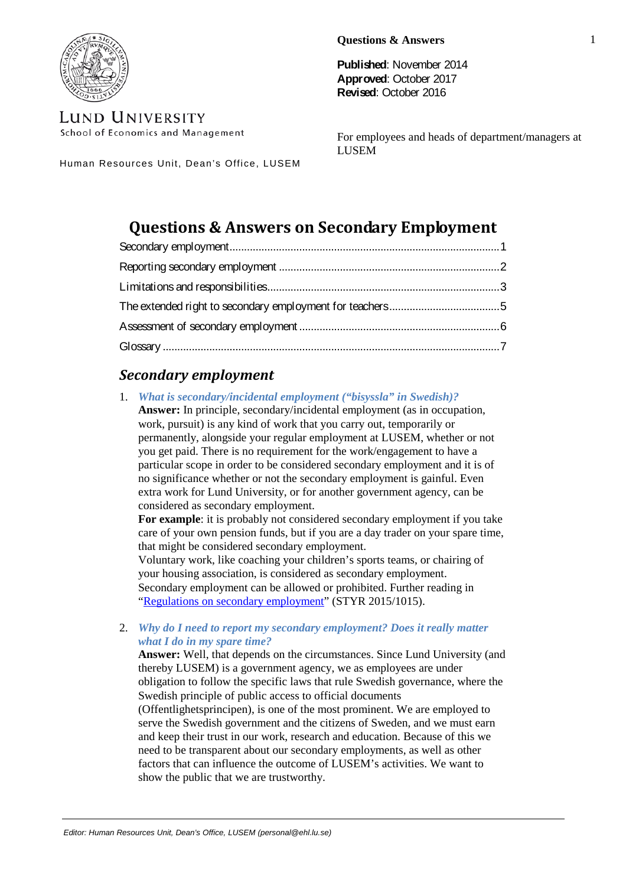

serve the Swedish government and the citizens of Sweden, and we must earn and keep their trust in our work, research and education. Because of this we need to be transparent about our secondary employments, as well as other factors that can influence the outcome of LUSEM's activities. We want to show the public that we are trustworthy.

(Offentlighetsprincipen), is one of the most prominent. We are employed to

obligation to follow the specific laws that rule Swedish governance, where the

**Published**: November 2014 **Approved**: October 2017 **Revised**: October 2016

For employees and heads of department/managers at LUSEM

Human Resources Unit, Dean's Office, LUSEM

# **Questions & Answers on Secondary Employment**

# <span id="page-0-0"></span>*Secondary employment*

1. *What is secondary/incidental employment ("bisyssla" in Swedish)?* **Answer:** In principle, secondary/incidental employment (as in occupation, work, pursuit) is any kind of work that you carry out, temporarily or permanently, alongside your regular employment at LUSEM, whether or not you get paid. There is no requirement for the work/engagement to have a particular scope in order to be considered secondary employment and it is of no significance whether or not the secondary employment is gainful. Even extra work for Lund University, or for another government agency, can be considered as secondary employment.

**For example**: it is probably not considered secondary employment if you take care of your own pension funds, but if you are a day trader on your spare time, that might be considered secondary employment.

Voluntary work, like coaching your children's sports teams, or chairing of your housing association, is considered as secondary employment. Secondary employment can be allowed or prohibited. Further reading in ["Regulations on secondary employment"](http://www.staff.lu.se/sites/staff.lu.se/files/regulations-on-secondary-employment.pdf) (STYR 2015/1015).

## 2. *Why do I need to report my secondary employment? Does it really matter what I do in my spare time?*  **Answer:** Well, that depends on the circumstances. Since Lund University (and

thereby LUSEM) is a government agency, we as employees are under

Swedish principle of public access to official documents



**LUND UNIVERSITY** 

School of Economics and Management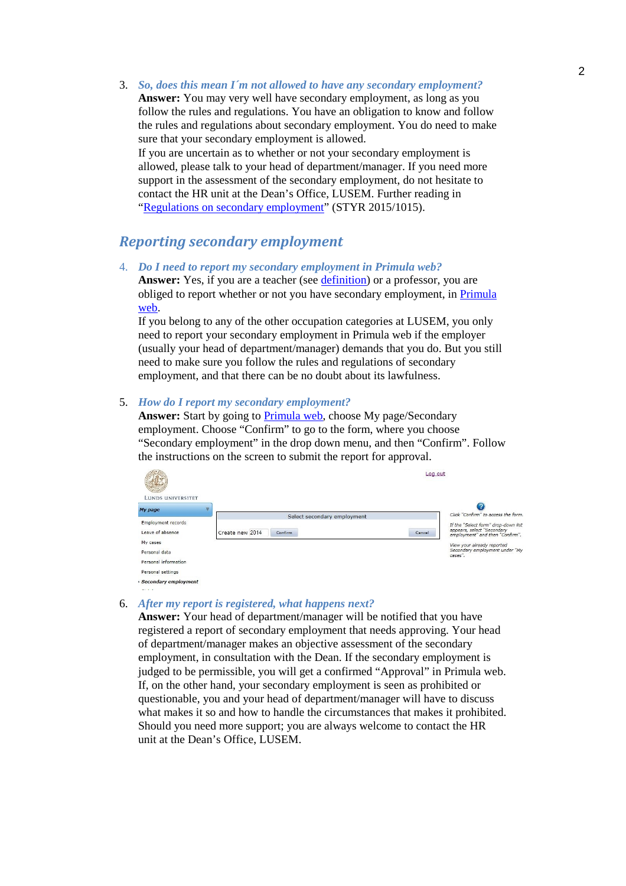3. *So, does this mean I´m not allowed to have any secondary employment?*  **Answer:** You may very well have secondary employment, as long as you follow the rules and regulations. You have an obligation to know and follow the rules and regulations about secondary employment. You do need to make sure that your secondary employment is allowed. If you are uncertain as to whether or not your secondary employment is allowed, please talk to your head of department/manager. If you need more support in the assessment of the secondary employment, do not hesitate to contact the HR unit at the Dean's Office, LUSEM. Further reading in ["Regulations on secondary employment"](http://www.staff.lu.se/sites/staff.lu.se/files/regulations-on-secondary-employment.pdf) (STYR 2015/1015).

# <span id="page-1-0"></span>*Reporting secondary employment*

4. *Do I need to report my secondary employment in Primula web?* **Answer:** Yes, if you are a teacher (see [definition\)](#page-4-1) or a professor, you are obliged to report whether or not you have secondary employment, in [Primula](https://primweb.adm.lu.se/index.jsp)  [web.](https://primweb.adm.lu.se/index.jsp)

If you belong to any of the other occupation categories at LUSEM, you only need to report your secondary employment in Primula web if the employer (usually your head of department/manager) demands that you do. But you still need to make sure you follow the rules and regulations of secondary employment, and that there can be no doubt about its lawfulness.

## 5. *How do I report my secondary employment?*

**Answer:** Start by going to [Primula web,](https://primweb.adm.lu.se/index.jsp) choose My page/Secondary employment. Choose "Confirm" to go to the form, where you choose "Secondary employment" in the drop down menu, and then "Confirm". Follow the instructions on the screen to submit the report for approval.

|                           | Log out                     |        |                                                               |
|---------------------------|-----------------------------|--------|---------------------------------------------------------------|
| <b>LUNDS UNIVERSITET</b>  |                             |        |                                                               |
| <b>My page</b>            |                             |        |                                                               |
|                           | Select secondary employment |        | Click "Confirm" to access the form.                           |
| <b>Employment records</b> |                             |        | If the "Select form" drop-down list                           |
| Leave of absence          | Create new 2014<br>Confirm  | Cancel | appears, select "Secondary<br>employment" and then "Confirm". |
| My cases                  |                             |        | View your already reported                                    |
| Personal data             |                             |        | Secondary employment under "My<br>cases".                     |
| Personal information      |                             |        |                                                               |
| Personal settings         |                             |        |                                                               |
| Secondary employment      |                             |        |                                                               |

## 6. *After my report is registered, what happens next?*

**Answer:** Your head of department/manager will be notified that you have registered a report of secondary employment that needs approving. Your head of department/manager makes an objective assessment of the secondary employment, in consultation with the Dean. If the secondary employment is judged to be permissible, you will get a confirmed "Approval" in Primula web. If, on the other hand, your secondary employment is seen as prohibited or questionable, you and your head of department/manager will have to discuss what makes it so and how to handle the circumstances that makes it prohibited. Should you need more support; you are always welcome to contact the HR unit at the Dean's Office, LUSEM.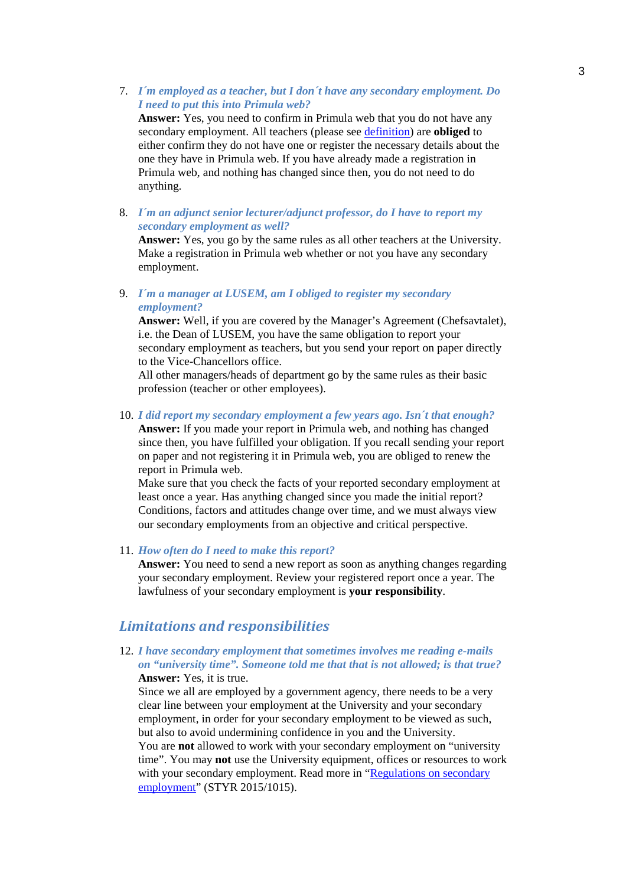7. *I´m employed as a teacher, but I don´t have any secondary employment. Do I need to put this into Primula web?*

**Answer:** Yes, you need to confirm in Primula web that you do not have any secondary employment. All teachers (please see [definition\)](#page-4-1) are **obliged** to either confirm they do not have one or register the necessary details about the one they have in Primula web. If you have already made a registration in Primula web, and nothing has changed since then, you do not need to do anything.

8. *I´m an adjunct senior lecturer/adjunct professor, do I have to report my secondary employment as well?*

**Answer:** Yes, you go by the same rules as all other teachers at the University. Make a registration in Primula web whether or not you have any secondary employment.

9. *I´m a manager at LUSEM, am I obliged to register my secondary employment?* 

**Answer:** Well, if you are covered by the Manager's Agreement (Chefsavtalet), i.e. the Dean of LUSEM, you have the same obligation to report your secondary employment as teachers, but you send your report on paper directly to the Vice-Chancellors office.

All other managers/heads of department go by the same rules as their basic profession (teacher or other employees).

10. *I did report my secondary employment a few years ago. Isn´t that enough?*

**Answer:** If you made your report in Primula web, and nothing has changed since then, you have fulfilled your obligation. If you recall sending your report on paper and not registering it in Primula web, you are obliged to renew the report in Primula web.

Make sure that you check the facts of your reported secondary employment at least once a year. Has anything changed since you made the initial report? Conditions, factors and attitudes change over time, and we must always view our secondary employments from an objective and critical perspective.

11. *How often do I need to make this report?*

**Answer:** You need to send a new report as soon as anything changes regarding your secondary employment. Review your registered report once a year. The lawfulness of your secondary employment is **your responsibility**.

## <span id="page-2-0"></span>*Limitations and responsibilities*

12. *I have secondary employment that sometimes involves me reading e-mails on "university time". Someone told me that that is not allowed; is that true?*  **Answer:** Yes, it is true.

Since we all are employed by a government agency, there needs to be a very clear line between your employment at the University and your secondary employment, in order for your secondary employment to be viewed as such, but also to avoid undermining confidence in you and the University.

You are **not** allowed to work with your secondary employment on "university time". You may **not** use the University equipment, offices or resources to work with your secondary employment. Read more in "Regulations on secondary [employment"](http://www.staff.lu.se/sites/staff.lu.se/files/regulations-on-secondary-employment.pdf) (STYR 2015/1015).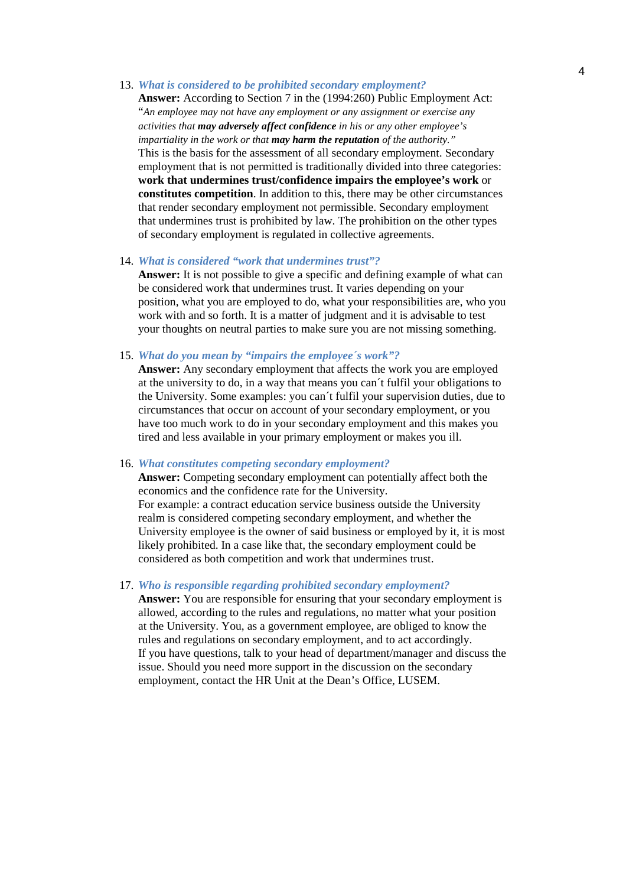#### 13. *What is considered to be prohibited secondary employment?*

**Answer:** According to Section 7 in the (1994:260) Public Employment Act: "*An employee may not have any employment or any assignment or exercise any activities that may adversely affect confidence in his or any other employee's impartiality in the work or that may harm the reputation of the authority."* This is the basis for the assessment of all secondary employment. Secondary employment that is not permitted is traditionally divided into three categories: **work that undermines trust/confidence impairs the employee's work** or **constitutes competition**. In addition to this, there may be other circumstances that render secondary employment not permissible. Secondary employment that undermines trust is prohibited by law. The prohibition on the other types of secondary employment is regulated in collective agreements.

## 14. *What is considered "work that undermines trust"?*

**Answer:** It is not possible to give a specific and defining example of what can be considered work that undermines trust. It varies depending on your position, what you are employed to do, what your responsibilities are, who you work with and so forth. It is a matter of judgment and it is advisable to test your thoughts on neutral parties to make sure you are not missing something.

15. *What do you mean by "impairs the employee´s work"?*

**Answer:** Any secondary employment that affects the work you are employed at the university to do, in a way that means you can´t fulfil your obligations to the University. Some examples: you can´t fulfil your supervision duties, due to circumstances that occur on account of your secondary employment, or you have too much work to do in your secondary employment and this makes you tired and less available in your primary employment or makes you ill.

#### 16. *What constitutes competing secondary employment?*

**Answer:** Competing secondary employment can potentially affect both the economics and the confidence rate for the University. For example: a contract education service business outside the University realm is considered competing secondary employment, and whether the University employee is the owner of said business or employed by it, it is most likely prohibited. In a case like that, the secondary employment could be considered as both competition and work that undermines trust.

## 17. *Who is responsible regarding prohibited secondary employment?*

**Answer:** You are responsible for ensuring that your secondary employment is allowed, according to the rules and regulations, no matter what your position at the University. You, as a government employee, are obliged to know the rules and regulations on secondary employment, and to act accordingly. If you have questions, talk to your head of department/manager and discuss the issue. Should you need more support in the discussion on the secondary employment, contact the HR Unit at the Dean's Office, LUSEM.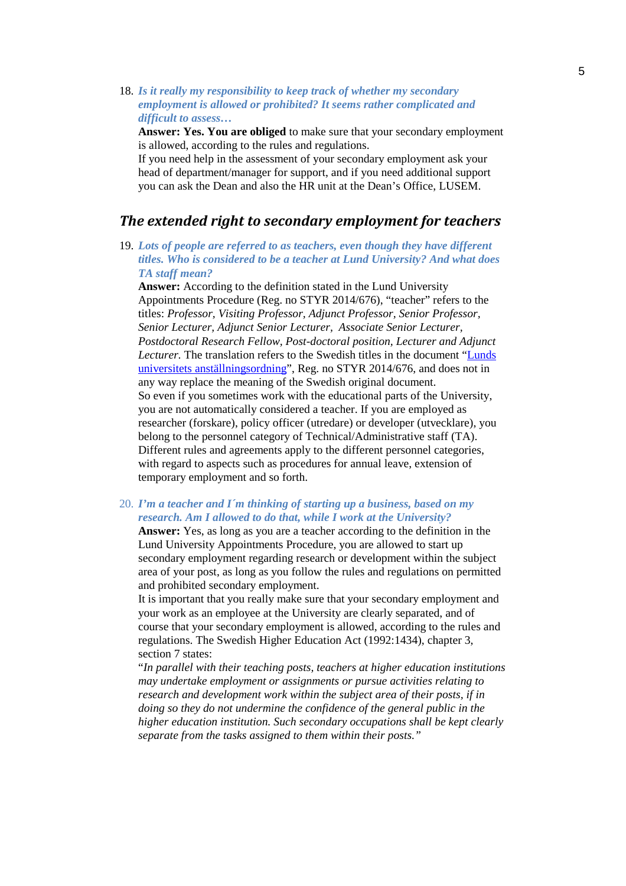18. *Is it really my responsibility to keep track of whether my secondary employment is allowed or prohibited? It seems rather complicated and difficult to assess…* 

**Answer: Yes. You are obliged** to make sure that your secondary employment is allowed, according to the rules and regulations.

If you need help in the assessment of your secondary employment ask your head of department/manager for support, and if you need additional support you can ask the Dean and also the HR unit at the Dean's Office, LUSEM.

# <span id="page-4-0"></span>*The extended right to secondary employment for teachers*

<span id="page-4-1"></span>19. *Lots of people are referred to as teachers, even though they have different titles. Who is considered to be a teacher at Lund University? And what does TA staff mean?*

**Answer:** According to the definition stated in the Lund University Appointments Procedure (Reg. no STYR 2014/676), "teacher" refers to the titles: *Professor, Visiting Professor, Adjunct Professor, Senior Professor, Senior Lecturer, Adjunct Senior Lecturer, Associate Senior Lecturer, Postdoctoral Research Fellow, Post-doctoral position, Lecturer and Adjunct Lecturer.* The translation refers to the Swedish titles in the document ["Lunds](http://www.medarbetarwebben.lu.se/sites/medarbetarwebben.lu.se/files/lus-anstallningsordning.pdf)  [universitets anställningsordning"](http://www.medarbetarwebben.lu.se/sites/medarbetarwebben.lu.se/files/lus-anstallningsordning.pdf), Reg. no STYR 2014/676, and does not in any way replace the meaning of the Swedish original document. So even if you sometimes work with the educational parts of the University, you are not automatically considered a teacher. If you are employed as researcher (forskare), policy officer (utredare) or developer (utvecklare), you belong to the personnel category of Technical/Administrative staff (TA). Different rules and agreements apply to the different personnel categories, with regard to aspects such as procedures for annual leave, extension of temporary employment and so forth.

20. *I'm a teacher and I´m thinking of starting up a business, based on my research. Am I allowed to do that, while I work at the University?*

**Answer:** Yes, as long as you are a teacher according to the definition in the Lund University Appointments Procedure, you are allowed to start up secondary employment regarding research or development within the subject area of your post, as long as you follow the rules and regulations on permitted and prohibited secondary employment.

It is important that you really make sure that your secondary employment and your work as an employee at the University are clearly separated, and of course that your secondary employment is allowed, according to the rules and regulations. The Swedish Higher Education Act (1992:1434), chapter 3, section 7 states:

"*In parallel with their teaching posts, teachers at higher education institutions may undertake employment or assignments or pursue activities relating to research and development work within the subject area of their posts, if in doing so they do not undermine the confidence of the general public in the higher education institution. Such secondary occupations shall be kept clearly separate from the tasks assigned to them within their posts."*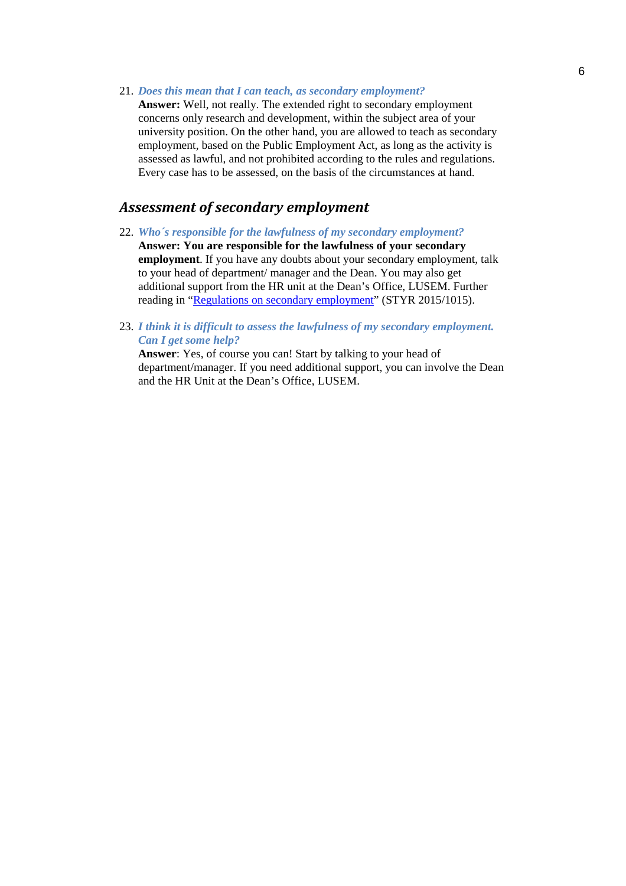21. *Does this mean that I can teach, as secondary employment?* 

**Answer:** Well, not really. The extended right to secondary employment concerns only research and development, within the subject area of your university position. On the other hand, you are allowed to teach as secondary employment, based on the Public Employment Act, as long as the activity is assessed as lawful, and not prohibited according to the rules and regulations. Every case has to be assessed, on the basis of the circumstances at hand.

# <span id="page-5-0"></span>*Assessment of secondary employment*

- 22. *Who´s responsible for the lawfulness of my secondary employment?*  **Answer: You are responsible for the lawfulness of your secondary employment**. If you have any doubts about your secondary employment, talk to your head of department/ manager and the Dean. You may also get additional support from the HR unit at the Dean's Office, LUSEM. Further reading in ["Regulations on secondary employment"](http://www.staff.lu.se/sites/staff.lu.se/files/regulations-on-secondary-employment.pdf) (STYR 2015/1015).
- 23. *I think it is difficult to assess the lawfulness of my secondary employment. Can I get some help?*

**Answer**: Yes, of course you can! Start by talking to your head of department/manager. If you need additional support, you can involve the Dean and the HR Unit at the Dean's Office, LUSEM.